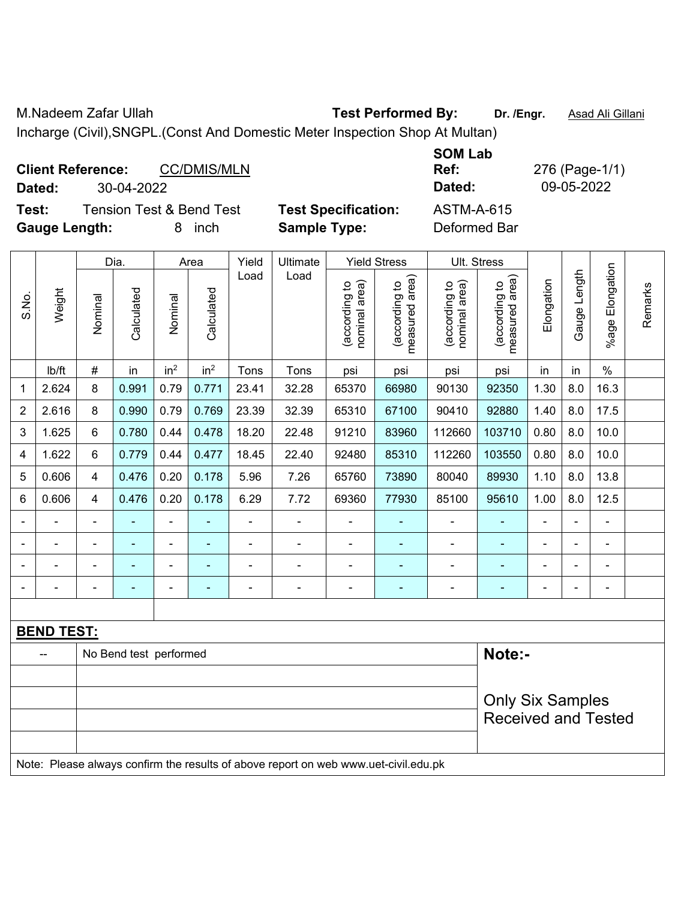M.Nadeem Zafar Ullah **Test Performed By: Dr. /Engr.** Asad Ali Gillani

Incharge (Civil),SNGPL.(Const And Domestic Meter Inspection Shop At Multan)

| <b>Client Reference:</b><br><b>CC/DMIS/MLN</b><br>30-04-2022<br>Dated:            | <b>SOM Lab</b><br>Ref:<br>Dated:                  | 276 (Page-1/1)<br>09-05-2022      |
|-----------------------------------------------------------------------------------|---------------------------------------------------|-----------------------------------|
| <b>Tension Test &amp; Bend Test</b><br>Test:<br><b>Gauge Length:</b><br>inch<br>8 | <b>Test Specification:</b><br><b>Sample Type:</b> | <b>ASTM-A-615</b><br>Deformed Bar |

|                |                                                                                     | Dia.<br>Area   |                        | Yield<br>Ultimate<br><b>Yield Stress</b> |                 |       |       |                                | Ult. Stress                     |                                |                                 |            |              |                       |         |
|----------------|-------------------------------------------------------------------------------------|----------------|------------------------|------------------------------------------|-----------------|-------|-------|--------------------------------|---------------------------------|--------------------------------|---------------------------------|------------|--------------|-----------------------|---------|
| S.No.          | Weight                                                                              | Nominal        | Calculated             | Nominal                                  | Calculated      | Load  | Load  | nominal area)<br>(according to | measured area)<br>(according to | nominal area)<br>(according to | (according to<br>measured area) | Elongation | Gauge Length | Elongation<br>$%$ age | Remarks |
|                | Ib/ft                                                                               | $\#$           | in                     | in <sup>2</sup>                          | in <sup>2</sup> | Tons  | Tons  | psi                            | psi                             | psi                            | psi                             | in         | in           | $\%$                  |         |
| 1              | 2.624                                                                               | 8              | 0.991                  | 0.79                                     | 0.771           | 23.41 | 32.28 | 65370                          | 66980                           | 90130                          | 92350                           | 1.30       | 8.0          | 16.3                  |         |
| $\overline{2}$ | 2.616                                                                               | 8              | 0.990                  | 0.79                                     | 0.769           | 23.39 | 32.39 | 65310                          | 67100                           | 90410                          | 92880                           | 1.40       | 8.0          | 17.5                  |         |
| 3              | 1.625                                                                               | 6              | 0.780                  | 0.44                                     | 0.478           | 18.20 | 22.48 | 91210                          | 83960                           | 112660                         | 103710                          | 0.80       | 8.0          | 10.0                  |         |
| 4              | 1.622                                                                               | 6              | 0.779                  | 0.44                                     | 0.477           | 18.45 | 22.40 | 92480                          | 85310                           | 112260                         | 103550                          | 0.80       | 8.0          | 10.0                  |         |
| 5              | 0.606                                                                               | $\overline{4}$ | 0.476                  | 0.20                                     | 0.178           | 5.96  | 7.26  | 65760                          | 73890                           | 80040                          | 89930                           | 1.10       | 8.0          | 13.8                  |         |
| 6              | 0.606                                                                               | $\overline{4}$ | 0.476                  | 0.20                                     | 0.178           | 6.29  | 7.72  | 69360                          | 77930                           | 85100                          | 95610                           | 1.00       | 8.0          | 12.5                  |         |
|                |                                                                                     | $\blacksquare$ | $\blacksquare$         | $\overline{\phantom{a}}$                 |                 | L,    | ÷,    | ä,                             | ٠                               | ÷,                             | ÷                               | L.         | L.           | ä,                    |         |
|                |                                                                                     |                | $\blacksquare$         | ÷                                        |                 |       | ÷     | -                              |                                 |                                |                                 |            |              | $\overline{a}$        |         |
|                |                                                                                     |                |                        | ۰                                        |                 |       |       |                                |                                 |                                |                                 |            |              |                       |         |
|                |                                                                                     |                |                        | ÷,                                       | ÷               | ÷     |       | L,                             | Ē.                              |                                |                                 |            |              | $\blacksquare$        |         |
|                |                                                                                     |                |                        |                                          |                 |       |       |                                |                                 |                                |                                 |            |              |                       |         |
|                | <b>BEND TEST:</b>                                                                   |                |                        |                                          |                 |       |       |                                |                                 |                                |                                 |            |              |                       |         |
|                |                                                                                     |                | No Bend test performed |                                          |                 |       |       |                                |                                 |                                | Note:-                          |            |              |                       |         |
|                |                                                                                     |                |                        |                                          |                 |       |       |                                |                                 |                                |                                 |            |              |                       |         |
|                |                                                                                     |                |                        |                                          |                 |       |       |                                |                                 |                                | <b>Only Six Samples</b>         |            |              |                       |         |
|                |                                                                                     |                |                        |                                          |                 |       |       |                                |                                 |                                | <b>Received and Tested</b>      |            |              |                       |         |
|                |                                                                                     |                |                        |                                          |                 |       |       |                                |                                 |                                |                                 |            |              |                       |         |
|                | Note: Please always confirm the results of above report on web www.uet-civil.edu.pk |                |                        |                                          |                 |       |       |                                |                                 |                                |                                 |            |              |                       |         |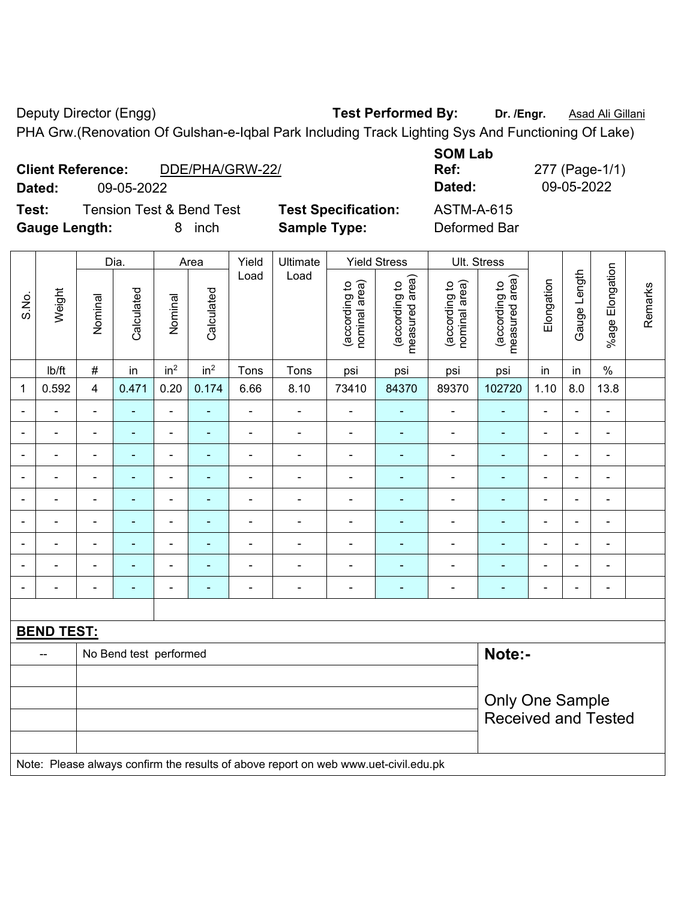Deputy Director (Engg) **Test Performed By:** Dr. /Engr. **Asad Ali Gillani** Company Deputy Director (Engg) PHA Grw.(Renovation Of Gulshan-e-Iqbal Park Including Track Lighting Sys And Functioning Of Lake)

|                          | PHA Grw. (Renovation Of Gulshan-e-Iqbal Park Including Track Lighting Sys And Functioning Of Lake) |                            |                |                |  |  |  |  |  |  |  |  |  |
|--------------------------|----------------------------------------------------------------------------------------------------|----------------------------|----------------|----------------|--|--|--|--|--|--|--|--|--|
|                          |                                                                                                    |                            | <b>SOM Lab</b> |                |  |  |  |  |  |  |  |  |  |
| <b>Client Reference:</b> | DDE/PHA/GRW-22/                                                                                    |                            | Ref:           | 277 (Page-1/1) |  |  |  |  |  |  |  |  |  |
| Dated:                   | 09-05-2022                                                                                         |                            | Dated:         | 09-05-2022     |  |  |  |  |  |  |  |  |  |
| Test:                    | <b>Tension Test &amp; Bend Test</b>                                                                | <b>Test Specification:</b> | ASTM-A-615     |                |  |  |  |  |  |  |  |  |  |

**Gauge Length:** 8 inch **Sample Type:** Deformed Bar

|                          |                   |                | Dia.                   |                 | Area            | Yield                    | Ultimate                                                                            | <b>Yield Stress</b>            |                                 |                                | Ult. Stress                     |                |                |                       |         |
|--------------------------|-------------------|----------------|------------------------|-----------------|-----------------|--------------------------|-------------------------------------------------------------------------------------|--------------------------------|---------------------------------|--------------------------------|---------------------------------|----------------|----------------|-----------------------|---------|
| S.No.                    | Weight            | Nominal        | Calculated             | Nominal         | Calculated      | Load                     | Load                                                                                | nominal area)<br>(according to | measured area)<br>(according to | (according to<br>nominal area) | (according to<br>measured area) | Elongation     | Gauge Length   | Elongation<br>$%$ age | Remarks |
|                          | lb/ft             | $\#$           | in                     | in <sup>2</sup> | in <sup>2</sup> | Tons                     | Tons                                                                                | psi                            | psi                             | psi                            | psi                             | in             | in             | $\%$                  |         |
| 1                        | 0.592             | $\overline{4}$ | 0.471                  | 0.20            | 0.174           | 6.66                     | 8.10                                                                                | 73410                          | 84370                           | 89370                          | 102720                          | 1.10           | 8.0            | 13.8                  |         |
|                          |                   | ä,             | ٠                      | ä,              |                 | ä,                       | L,                                                                                  | $\blacksquare$                 |                                 | $\blacksquare$                 | $\blacksquare$                  | $\overline{a}$ |                | $\blacksquare$        |         |
|                          |                   |                | ۰                      | $\blacksquare$  |                 | $\blacksquare$           | $\blacksquare$                                                                      | $\blacksquare$                 | $\blacksquare$                  | $\blacksquare$                 | $\blacksquare$                  | $\blacksquare$ |                | $\blacksquare$        |         |
| $\overline{\phantom{0}}$ | $\overline{a}$    | $\blacksquare$ | ۰                      | $\blacksquare$  | $\blacksquare$  | ٠                        | $\blacksquare$                                                                      | $\blacksquare$                 | $\blacksquare$                  | $\overline{\phantom{a}}$       | $\blacksquare$                  | $\blacksquare$ | ٠              | $\blacksquare$        |         |
| $\overline{\phantom{a}}$ | ä,                | $\blacksquare$ | ٠                      | $\blacksquare$  | $\blacksquare$  | $\blacksquare$           | $\qquad \qquad \blacksquare$                                                        | $\blacksquare$                 | $\blacksquare$                  | $\qquad \qquad \blacksquare$   | $\frac{1}{2}$                   | ÷,             | $\blacksquare$ | $\blacksquare$        |         |
|                          | ä,                | $\blacksquare$ | ٠                      | $\blacksquare$  |                 | $\blacksquare$           | ä,                                                                                  | $\blacksquare$                 | $\blacksquare$                  | $\blacksquare$                 | $\blacksquare$                  | ä,             | $\blacksquare$ | $\blacksquare$        |         |
| $\blacksquare$           | ä,                | $\blacksquare$ | ۰                      | $\blacksquare$  |                 | $\blacksquare$           | $\blacksquare$                                                                      | $\blacksquare$                 | $\blacksquare$                  | $\frac{1}{2}$                  | $\blacksquare$                  | $\blacksquare$ |                | $\blacksquare$        |         |
|                          |                   |                | ۰                      | $\blacksquare$  |                 | ä,                       | $\blacksquare$                                                                      | $\overline{\phantom{a}}$       | $\blacksquare$                  | $\overline{\phantom{a}}$       | $\blacksquare$                  | $\blacksquare$ |                | $\blacksquare$        |         |
|                          |                   |                | ۰                      | $\overline{a}$  |                 | ۰                        | $\blacksquare$                                                                      | $\blacksquare$                 | $\blacksquare$                  | $\blacksquare$                 | ۰                               | $\blacksquare$ | $\sim$         | $\blacksquare$        |         |
| $\overline{\phantom{a}}$ | $\blacksquare$    | $\blacksquare$ | ۰                      | $\blacksquare$  | $\blacksquare$  | $\overline{\phantom{a}}$ | $\blacksquare$                                                                      | $\blacksquare$                 | $\blacksquare$                  | $\qquad \qquad \blacksquare$   | $\frac{1}{2}$                   | ÷              | $\blacksquare$ | $\blacksquare$        |         |
|                          |                   |                |                        |                 |                 |                          |                                                                                     |                                |                                 |                                |                                 |                |                |                       |         |
|                          | <b>BEND TEST:</b> |                |                        |                 |                 |                          |                                                                                     |                                |                                 |                                |                                 |                |                |                       |         |
|                          |                   |                | No Bend test performed |                 |                 |                          |                                                                                     |                                |                                 |                                | Note:-                          |                |                |                       |         |
|                          |                   |                |                        |                 |                 |                          |                                                                                     |                                |                                 |                                |                                 |                |                |                       |         |
|                          |                   |                |                        |                 |                 |                          |                                                                                     |                                |                                 |                                | <b>Only One Sample</b>          |                |                |                       |         |
|                          |                   |                |                        |                 |                 |                          |                                                                                     |                                |                                 |                                | <b>Received and Tested</b>      |                |                |                       |         |
|                          |                   |                |                        |                 |                 |                          |                                                                                     |                                |                                 |                                |                                 |                |                |                       |         |
|                          |                   |                |                        |                 |                 |                          | Note: Please always confirm the results of above report on web www.uet-civil.edu.pk |                                |                                 |                                |                                 |                |                |                       |         |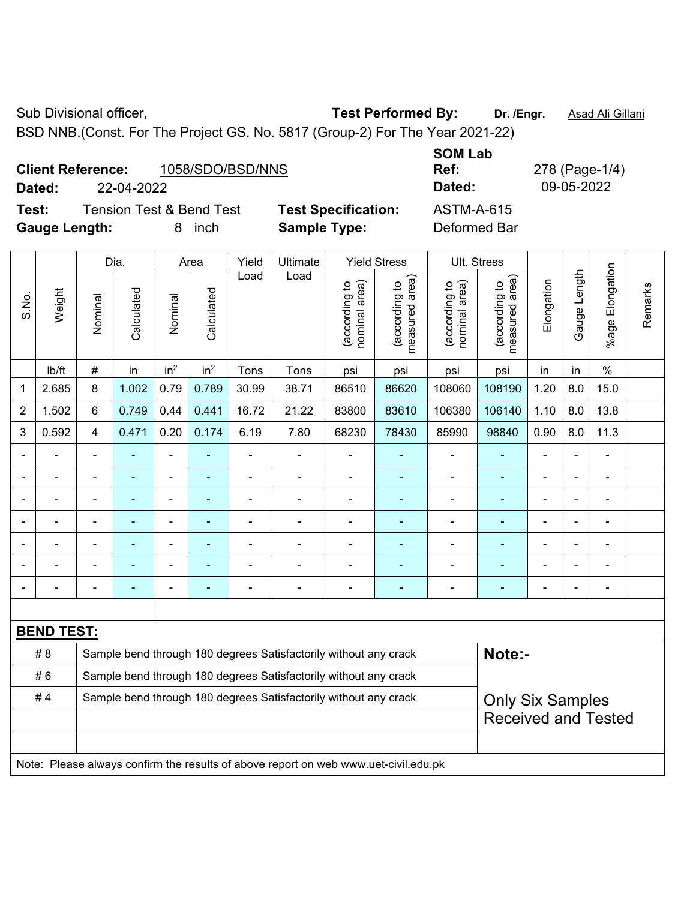Sub Divisional officer, **Test Performed By:** Dr. /Engr. **Asad Ali Gillani** Company Company Company Company Company

BSD NNB.(Const. For The Project GS. No. 5817 (Group-2) For The Year 2021-22)

## **Client Reference:** 1058/SDO/BSD/NNS

**Dated:** 22-04-2022 **Dated:** 09-05-2022

**Test:** Tension Test & Bend Test **Test Specification:** ASTM-A-615 **Gauge Length:** 8 inch **Sample Type:** Deformed Bar

**SOM Lab Ref:** 278 (Page-1/4)

|                |                   | Dia.                                                             |                | Area            |                 | Yield | Ultimate                                                         | <b>Yield Stress</b>            |                                             |                                | Ult. Stress                     |                |                |                              |         |
|----------------|-------------------|------------------------------------------------------------------|----------------|-----------------|-----------------|-------|------------------------------------------------------------------|--------------------------------|---------------------------------------------|--------------------------------|---------------------------------|----------------|----------------|------------------------------|---------|
| S.No.          | Weight            | Nominal                                                          | Calculated     | Nominal         | Calculated      | Load  | Load                                                             | nominal area)<br>(according to | (according to<br>neasured area)<br>measured | nominal area)<br>(according to | measured area)<br>(according to | Elongation     | Gauge Length   | %age Elongation              | Remarks |
|                | lb/ft             | #                                                                | in             | in <sup>2</sup> | in <sup>2</sup> | Tons  | Tons                                                             | psi                            | psi                                         | psi                            | psi                             | in             | in             | $\frac{0}{0}$                |         |
| $\mathbf{1}$   | 2.685             | 8                                                                | 1.002          | 0.79            | 0.789           | 30.99 | 38.71                                                            | 86510                          | 86620                                       | 108060                         | 108190                          | 1.20           | 8.0            | 15.0                         |         |
| $\overline{2}$ | 1.502             | 6                                                                | 0.749          | 0.44            | 0.441           | 16.72 | 21.22                                                            | 83800                          | 83610                                       | 106380                         | 106140                          | 1.10           | 8.0            | 13.8                         |         |
| 3              | 0.592             | 4                                                                | 0.471          | 0.20            | 0.174           | 6.19  | 7.80                                                             | 68230                          | 78430                                       | 85990                          | 98840                           | 0.90           | 8.0            | 11.3                         |         |
|                |                   | $\blacksquare$                                                   |                | ä,              |                 |       |                                                                  |                                |                                             | $\blacksquare$                 | ÷                               |                |                | $\blacksquare$               |         |
|                |                   |                                                                  |                | $\blacksquare$  |                 |       |                                                                  |                                |                                             | $\blacksquare$                 | $\blacksquare$                  |                |                |                              |         |
|                |                   |                                                                  |                | ä,              |                 |       |                                                                  |                                |                                             | $\blacksquare$                 |                                 |                |                |                              |         |
|                |                   | $\blacksquare$                                                   |                | $\blacksquare$  | $\blacksquare$  |       |                                                                  | $\overline{\phantom{0}}$       | $\blacksquare$                              | $\blacksquare$                 | ۰                               |                | $\blacksquare$ | $\overline{a}$               |         |
|                |                   | ÷                                                                | $\blacksquare$ | $\blacksquare$  | ä,              |       | $\blacksquare$                                                   | $\blacksquare$                 | $\blacksquare$                              | $\blacksquare$                 | ۰                               | $\blacksquare$ |                | $\blacksquare$               |         |
|                |                   |                                                                  |                |                 |                 |       |                                                                  |                                |                                             |                                |                                 |                |                |                              |         |
|                |                   |                                                                  |                |                 |                 |       | $\blacksquare$                                                   | $\overline{a}$                 |                                             | $\overline{a}$                 | ۰                               |                |                | $\qquad \qquad \blacksquare$ |         |
|                |                   |                                                                  |                |                 |                 |       |                                                                  |                                |                                             |                                |                                 |                |                |                              |         |
|                | <b>BEND TEST:</b> |                                                                  |                |                 |                 |       |                                                                  |                                |                                             |                                |                                 |                |                |                              |         |
|                | #8                |                                                                  |                |                 |                 |       | Sample bend through 180 degrees Satisfactorily without any crack |                                |                                             |                                | Note:-                          |                |                |                              |         |
|                | #6                | Sample bend through 180 degrees Satisfactorily without any crack |                |                 |                 |       |                                                                  |                                |                                             |                                |                                 |                |                |                              |         |
|                | #4                | Sample bend through 180 degrees Satisfactorily without any crack |                |                 |                 |       |                                                                  |                                |                                             |                                | <b>Only Six Samples</b>         |                |                |                              |         |
|                |                   |                                                                  |                |                 |                 |       |                                                                  |                                |                                             |                                | <b>Received and Tested</b>      |                |                |                              |         |
|                |                   |                                                                  |                |                 |                 |       |                                                                  |                                |                                             |                                |                                 |                |                |                              |         |

Note: Please always confirm the results of above report on web www.uet-civil.edu.pk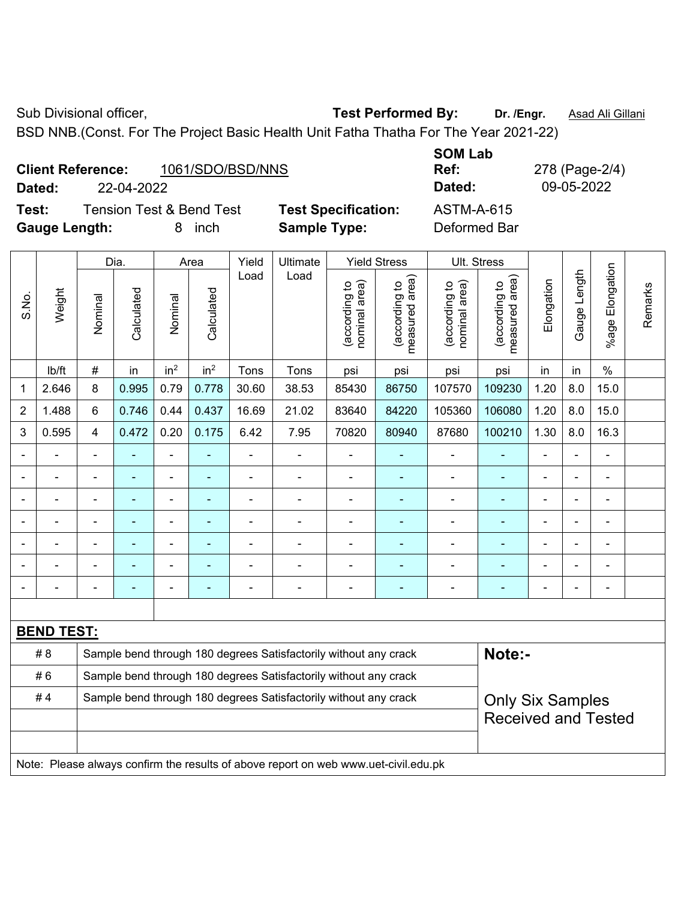Sub Divisional officer, **Test Performed By:** Dr. /Engr. **Asad Ali Gillani** Associated By: Dr. /Engr. **Asad Ali Gillani** 

BSD NNB.(Const. For The Project Basic Health Unit Fatha Thatha For The Year 2021-22)

|        | 1061/SDO/BSD/NNS<br><b>Client Reference:</b> |                            | ---------<br>Ref: |
|--------|----------------------------------------------|----------------------------|-------------------|
| Dated: | 22-04-2022                                   |                            | Dated:            |
| Test:  | <b>Tension Test &amp; Bend Test</b>          | <b>Test Specification:</b> | ASTM-A-615        |

**Gauge Length:** 8 inch **Sample Type:** Deformed Bar

**SOM Lab Ref:** 278 (Page-2/4) **Dated:** 22-04-2022 **Dated:** 09-05-2022

|                |                   |                                                                  | Dia.           | Area            |                 | Yield<br>Ultimate |                                                                                                         |                                | <b>Yield Stress</b>             |                                | Ult. Stress                                 |                |                |                      |         |
|----------------|-------------------|------------------------------------------------------------------|----------------|-----------------|-----------------|-------------------|---------------------------------------------------------------------------------------------------------|--------------------------------|---------------------------------|--------------------------------|---------------------------------------------|----------------|----------------|----------------------|---------|
| S.No.          | Weight            | Nominal                                                          | Calculated     | Nominal         | Calculated      | Load              | Load                                                                                                    | nominal area)<br>(according to | (according to<br>measured area) | nominal area)<br>(according to | (according to<br>measured area)<br>measured | Elongation     | Gauge Length   | Elongation<br>%age I | Remarks |
|                | lb/ft             | #                                                                | in             | in <sup>2</sup> | in <sup>2</sup> | Tons              | Tons                                                                                                    | psi                            | psi                             | psi                            | psi                                         | in             | in             | $\%$                 |         |
| 1              | 2.646             | 8                                                                | 0.995          | 0.79            | 0.778           | 30.60             | 38.53                                                                                                   | 85430                          | 86750                           | 107570                         | 109230                                      | 1.20           | 8.0            | 15.0                 |         |
| 2              | 1.488             | 6                                                                | 0.746          | 0.44            | 0.437           | 16.69             | 21.02                                                                                                   | 83640                          | 84220                           | 105360                         | 106080                                      | 1.20           | 8.0            | 15.0                 |         |
| 3              | 0.595             | $\overline{4}$                                                   | 0.472          | 0.20            | 0.175           | 6.42              | 7.95                                                                                                    | 70820                          | 80940                           | 87680                          | 100210                                      | 1.30           | 8.0            | 16.3                 |         |
|                |                   |                                                                  |                |                 |                 |                   |                                                                                                         |                                |                                 |                                |                                             |                |                |                      |         |
|                |                   |                                                                  | $\blacksquare$ | $\blacksquare$  | ä,              | $\blacksquare$    | ä,                                                                                                      | $\blacksquare$                 | ۰                               | $\blacksquare$                 |                                             | $\blacksquare$ | $\blacksquare$ | ä,                   |         |
| $\blacksquare$ |                   | $\blacksquare$                                                   | $\blacksquare$ | $\blacksquare$  | ◆               | L,                | ä,                                                                                                      | $\blacksquare$                 | $\blacksquare$                  | $\blacksquare$                 | $\blacksquare$                              | $\blacksquare$ |                | ä,                   |         |
|                |                   |                                                                  | $\blacksquare$ | ÷,              |                 | L,                |                                                                                                         | L,                             |                                 |                                |                                             |                |                | ä,                   |         |
|                |                   |                                                                  |                | ÷               |                 |                   |                                                                                                         |                                |                                 |                                |                                             |                |                |                      |         |
|                |                   |                                                                  |                | ÷               |                 |                   |                                                                                                         |                                |                                 |                                |                                             |                |                |                      |         |
|                |                   |                                                                  |                | ÷               |                 |                   |                                                                                                         | -                              | ۰                               |                                |                                             |                |                | ÷                    |         |
|                |                   |                                                                  |                |                 |                 |                   |                                                                                                         |                                |                                 |                                |                                             |                |                |                      |         |
|                | <b>BEND TEST:</b> |                                                                  |                |                 |                 |                   |                                                                                                         |                                |                                 |                                |                                             |                |                |                      |         |
|                | # 8               |                                                                  |                |                 |                 |                   | Sample bend through 180 degrees Satisfactorily without any crack                                        |                                |                                 |                                | Note:-                                      |                |                |                      |         |
|                | #6                | Sample bend through 180 degrees Satisfactorily without any crack |                |                 |                 |                   |                                                                                                         |                                |                                 |                                |                                             |                |                |                      |         |
|                | #4                |                                                                  |                |                 |                 |                   | Sample bend through 180 degrees Satisfactorily without any crack                                        |                                |                                 |                                | <b>Only Six Samples</b>                     |                |                |                      |         |
|                |                   |                                                                  |                |                 |                 |                   |                                                                                                         |                                |                                 |                                | <b>Received and Tested</b>                  |                |                |                      |         |
|                |                   |                                                                  |                |                 |                 |                   |                                                                                                         |                                |                                 |                                |                                             |                |                |                      |         |
|                |                   |                                                                  |                |                 |                 |                   | Mater Dissex showed a sufficient the meanity of all are memorial and contained and official and colored |                                |                                 |                                |                                             |                |                |                      |         |

Note: Please always confirm the results of above report on web www.uet-civil.edu.pk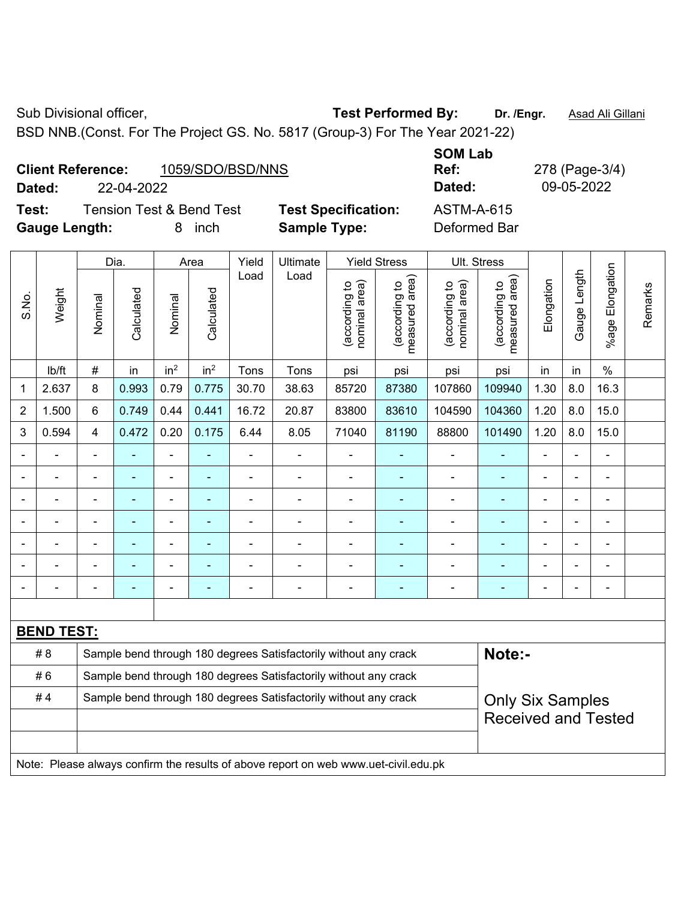Sub Divisional officer, **Test Performed By:** Dr. /Engr. **Asad Ali Gillani** Company Company Company Company Company

BSD NNB.(Const. For The Project GS. No. 5817 (Group-3) For The Year 2021-22)

| <b>Client Reference:</b> | 1059/SDO/BSD/NNS |
|--------------------------|------------------|
|                          |                  |

**Test:** Tension Test & Bend Test **Test Specification:** ASTM-A-615 **Gauge Length:** 8 inch **Sample Type:** Deformed Bar

**SOM Lab Ref:** 278 (Page-3/4) **Dated:** 22-04-2022 **Dated:** 09-05-2022

|                |                                                                                     | Dia.<br>Ultimate<br><b>Yield Stress</b><br>Yield<br>Area         |            | Ult. Stress     |                 |                |                                                                  |                                |                                             |                                |                                 |                |              |                       |         |
|----------------|-------------------------------------------------------------------------------------|------------------------------------------------------------------|------------|-----------------|-----------------|----------------|------------------------------------------------------------------|--------------------------------|---------------------------------------------|--------------------------------|---------------------------------|----------------|--------------|-----------------------|---------|
| S.No.          | Weight                                                                              | Nominal                                                          | Calculated | Nominal         | Calculated      | Load           | Load                                                             | nominal area)<br>(according to | (according to<br>measured area)<br>measured | nominal area)<br>(according to | (according to<br>measured area) | Elongation     | Gauge Length | Elongation<br>$%$ age | Remarks |
|                | lb/ft                                                                               | $\#$                                                             | in         | in <sup>2</sup> | in <sup>2</sup> | Tons           | Tons                                                             | psi                            | psi                                         | psi                            | psi                             | in             | in           | $\%$                  |         |
| $\mathbf{1}$   | 2.637                                                                               | 8                                                                | 0.993      | 0.79            | 0.775           | 30.70          | 38.63                                                            | 85720                          | 87380                                       | 107860                         | 109940                          | 1.30           | 8.0          | 16.3                  |         |
| $\overline{2}$ | 1.500                                                                               | $6\phantom{1}$                                                   | 0.749      | 0.44            | 0.441           | 16.72          | 20.87                                                            | 83800                          | 83610                                       | 104590                         | 104360                          | 1.20           | 8.0          | 15.0                  |         |
| 3              | 0.594                                                                               | $\overline{4}$                                                   | 0.472      | 0.20            | 0.175           | 6.44           | 8.05                                                             | 71040                          | 81190                                       | 88800                          | 101490                          | 1.20           | 8.0          | 15.0                  |         |
|                |                                                                                     | $\blacksquare$                                                   |            | $\blacksquare$  | $\blacksquare$  | $\blacksquare$ |                                                                  | $\blacksquare$                 |                                             | $\overline{\phantom{a}}$       | $\blacksquare$                  | $\blacksquare$ |              | ÷,                    |         |
|                |                                                                                     | $\blacksquare$                                                   | ÷          | $\blacksquare$  | $\blacksquare$  | $\blacksquare$ | $\blacksquare$                                                   | $\blacksquare$                 | ÷                                           | $\blacksquare$                 | $\blacksquare$                  | $\blacksquare$ |              | $\blacksquare$        |         |
|                |                                                                                     |                                                                  |            |                 |                 |                |                                                                  | $\blacksquare$                 |                                             | Ē,                             | ٠                               |                |              |                       |         |
|                |                                                                                     |                                                                  |            | ۰               |                 |                |                                                                  |                                |                                             |                                | ٠                               |                |              |                       |         |
|                |                                                                                     | $\blacksquare$                                                   |            | $\blacksquare$  | $\blacksquare$  | $\blacksquare$ | $\blacksquare$                                                   | $\overline{\phantom{0}}$       | ٠                                           | $\blacksquare$                 | $\blacksquare$                  | $\blacksquare$ |              | $\blacksquare$        |         |
|                |                                                                                     |                                                                  |            | $\blacksquare$  | ä,              | $\blacksquare$ |                                                                  | $\blacksquare$                 | ÷                                           | $\blacksquare$                 | $\blacksquare$                  | L,             |              | ÷,                    |         |
|                |                                                                                     |                                                                  |            | ÷               | ä,              |                |                                                                  | ä,                             | ÷                                           | $\blacksquare$                 | $\blacksquare$                  |                |              | $\blacksquare$        |         |
|                |                                                                                     |                                                                  |            |                 |                 |                |                                                                  |                                |                                             |                                |                                 |                |              |                       |         |
|                | <b>BEND TEST:</b>                                                                   |                                                                  |            |                 |                 |                |                                                                  |                                |                                             |                                |                                 |                |              |                       |         |
|                | # 8                                                                                 |                                                                  |            |                 |                 |                | Sample bend through 180 degrees Satisfactorily without any crack |                                |                                             |                                | Note:-                          |                |              |                       |         |
|                | #6                                                                                  | Sample bend through 180 degrees Satisfactorily without any crack |            |                 |                 |                |                                                                  |                                |                                             |                                |                                 |                |              |                       |         |
|                | #4                                                                                  | Sample bend through 180 degrees Satisfactorily without any crack |            |                 |                 |                |                                                                  |                                |                                             |                                | <b>Only Six Samples</b>         |                |              |                       |         |
|                |                                                                                     |                                                                  |            |                 |                 |                |                                                                  |                                |                                             |                                | <b>Received and Tested</b>      |                |              |                       |         |
|                |                                                                                     |                                                                  |            |                 |                 |                |                                                                  |                                |                                             |                                |                                 |                |              |                       |         |
|                | Note: Please always confirm the results of above report on web www.uet-civil.edu.pk |                                                                  |            |                 |                 |                |                                                                  |                                |                                             |                                |                                 |                |              |                       |         |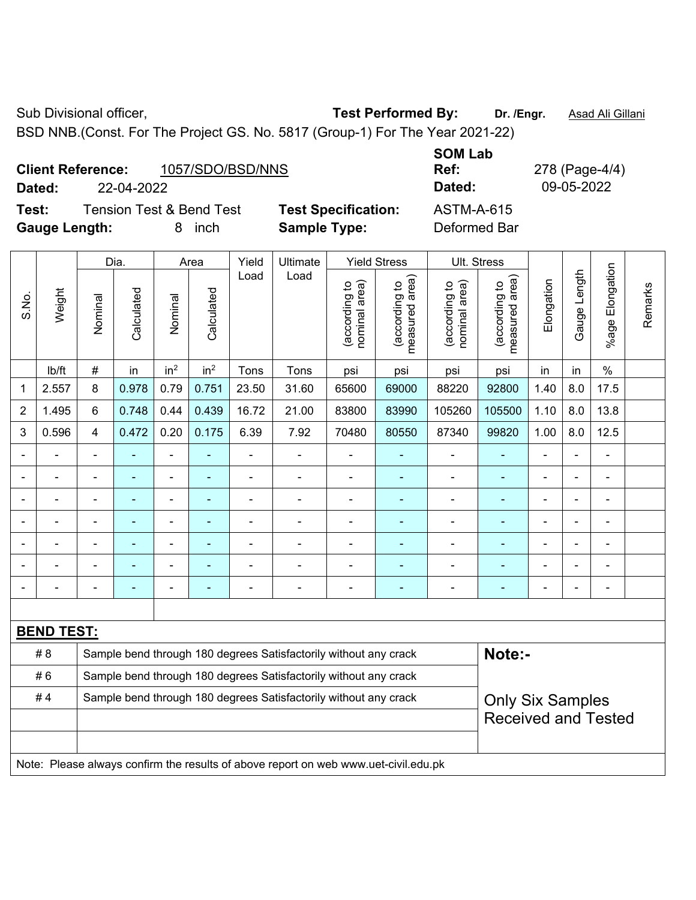Sub Divisional officer, **Test Performed By:** Dr. /Engr. **Asad Ali Gillani** Associated By: Dr. /Engr. **Asad Ali Gillani** 

BSD NNB.(Const. For The Project GS. No. 5817 (Group-1) For The Year 2021-22)

| <b>Client Reference:</b> | 1057/SDO/BSD/NNS |
|--------------------------|------------------|
|--------------------------|------------------|

**Dated:** 22-04-2022 **Dated:** 09-05-2022

**Test:** Tension Test & Bend Test **Test Specification:** ASTM-A-615 **Gauge Length:** 8 inch **Sample Type:** Deformed Bar

**SOM Lab Ref:** 278 (Page-4/4)

|                |                                                                                     |                                                                                             | Dia.       |                 | Area                     | Yield          | Ultimate                                                         |                                | <b>Yield Stress</b>                         | Ult. Stress                    |                                 |                |              |                 |         |
|----------------|-------------------------------------------------------------------------------------|---------------------------------------------------------------------------------------------|------------|-----------------|--------------------------|----------------|------------------------------------------------------------------|--------------------------------|---------------------------------------------|--------------------------------|---------------------------------|----------------|--------------|-----------------|---------|
| S.No.          | Weight                                                                              | Nominal                                                                                     | Calculated | Nominal         | Calculated               | Load           | Load                                                             | (according to<br>nominal area) | (according to<br>neasured area)<br>measured | (according to<br>nominal area) | (according to<br>measured area) | Elongation     | Gauge Length | %age Elongation | Remarks |
|                | lb/ft                                                                               | $\#$                                                                                        | in         | in <sup>2</sup> | in <sup>2</sup>          | Tons           | Tons                                                             | psi                            | psi                                         | psi                            | psi                             | in             | in           | $\%$            |         |
| $\mathbf 1$    | 2.557                                                                               | $\,8\,$                                                                                     | 0.978      | 0.79            | 0.751                    | 23.50          | 31.60                                                            | 65600                          | 69000                                       | 88220                          | 92800                           | 1.40           | 8.0          | 17.5            |         |
| $\overline{2}$ | 1.495                                                                               | 6                                                                                           | 0.748      | 0.44            | 0.439                    | 16.72          | 21.00                                                            | 83800                          | 83990                                       | 105260                         | 105500                          | 1.10           | 8.0          | 13.8            |         |
| 3              | 0.596                                                                               | $\overline{4}$                                                                              | 0.472      | 0.20            | 0.175                    | 6.39           | 7.92                                                             | 70480                          | 80550                                       | 87340                          | 99820                           | 1.00           | 8.0          | 12.5            |         |
| ä,             |                                                                                     | ä,                                                                                          | ÷,         | ÷,              | ÷,                       | ÷,             | $\blacksquare$                                                   | $\blacksquare$                 |                                             | $\blacksquare$                 | $\blacksquare$                  | $\blacksquare$ |              | ÷,              |         |
|                |                                                                                     | ä,                                                                                          | L,         | $\blacksquare$  | $\blacksquare$           | $\blacksquare$ | ä,                                                               | $\blacksquare$                 | $\blacksquare$                              | $\blacksquare$                 | $\blacksquare$                  | ä,             |              | $\blacksquare$  |         |
|                |                                                                                     | $\blacksquare$                                                                              | ÷,         | $\blacksquare$  |                          |                | $\blacksquare$                                                   |                                |                                             | $\blacksquare$                 | ä,                              |                |              | $\blacksquare$  |         |
|                |                                                                                     |                                                                                             |            | $\blacksquare$  |                          |                | $\blacksquare$                                                   | $\blacksquare$                 |                                             | $\blacksquare$                 | ۰                               | $\blacksquare$ |              | $\blacksquare$  |         |
|                |                                                                                     | $\blacksquare$                                                                              | ۰          |                 |                          |                | $\blacksquare$                                                   |                                |                                             | $\blacksquare$                 |                                 | $\blacksquare$ |              | $\blacksquare$  |         |
|                |                                                                                     |                                                                                             |            | ۰               |                          |                | ÷                                                                | $\blacksquare$                 |                                             | $\blacksquare$                 | ۰                               | Ē,             |              | ۰               |         |
|                |                                                                                     | $\blacksquare$                                                                              | ä,         | ۰               | $\overline{\phantom{0}}$ |                | ÷                                                                | $\blacksquare$                 | ÷                                           | $\blacksquare$                 | $\blacksquare$                  | $\blacksquare$ |              | ۰               |         |
|                |                                                                                     |                                                                                             |            |                 |                          |                |                                                                  |                                |                                             |                                |                                 |                |              |                 |         |
|                | <b>BEND TEST:</b>                                                                   |                                                                                             |            |                 |                          |                |                                                                  |                                |                                             |                                |                                 |                |              |                 |         |
|                | # 8                                                                                 |                                                                                             |            |                 |                          |                | Sample bend through 180 degrees Satisfactorily without any crack |                                |                                             |                                | Note:-                          |                |              |                 |         |
|                | #6                                                                                  | Sample bend through 180 degrees Satisfactorily without any crack                            |            |                 |                          |                |                                                                  |                                |                                             |                                |                                 |                |              |                 |         |
|                | #4                                                                                  | Sample bend through 180 degrees Satisfactorily without any crack<br><b>Only Six Samples</b> |            |                 |                          |                |                                                                  |                                |                                             |                                |                                 |                |              |                 |         |
|                |                                                                                     |                                                                                             |            |                 |                          |                |                                                                  |                                |                                             |                                | <b>Received and Tested</b>      |                |              |                 |         |
|                |                                                                                     |                                                                                             |            |                 |                          |                |                                                                  |                                |                                             |                                |                                 |                |              |                 |         |
|                | Note: Please always confirm the results of above report on web www.uet-civil.edu.pk |                                                                                             |            |                 |                          |                |                                                                  |                                |                                             |                                |                                 |                |              |                 |         |